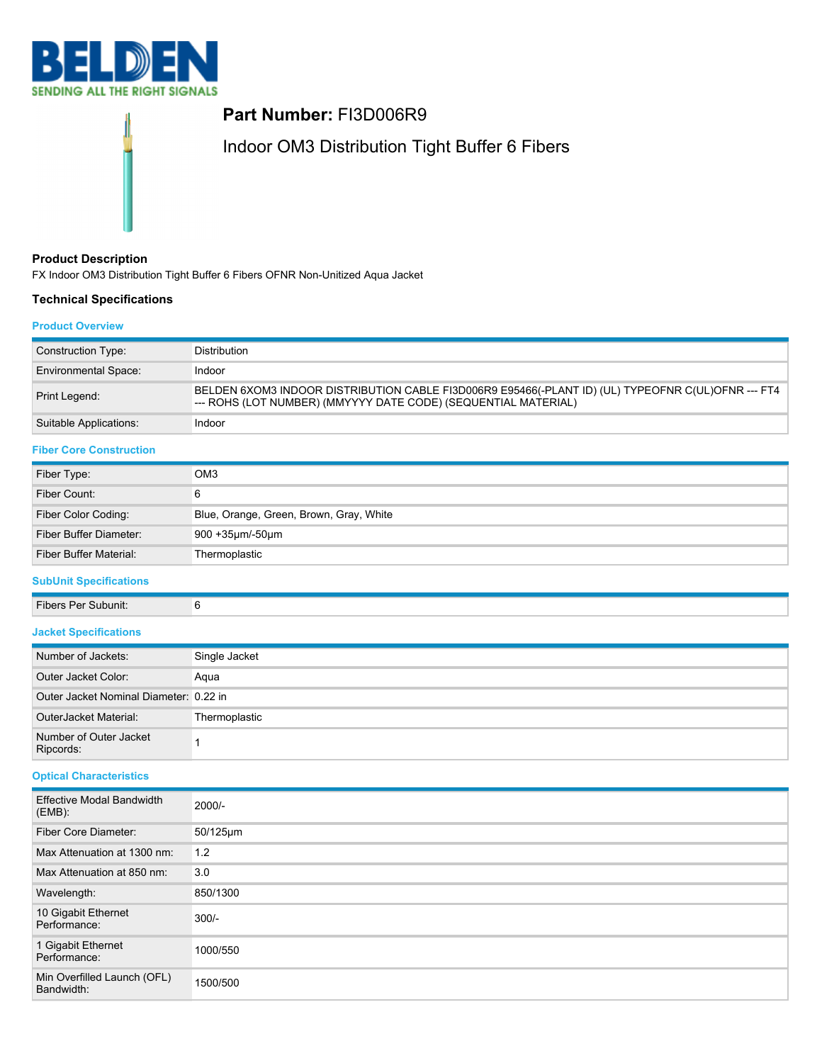

# **Part Number:** FI3D006R9

Indoor OM3 Distribution Tight Buffer 6 Fibers

# **Product Description**

FX Indoor OM3 Distribution Tight Buffer 6 Fibers OFNR Non-Unitized Aqua Jacket

## **Technical Specifications**

## **Product Overview**

| <b>Environmental Space:</b><br>Indoor<br>BELDEN 6XOM3 INDOOR DISTRIBUTION CABLE FI3D006R9 E95466(-PLANT ID) (UL) TYPEOFNR C(UL)OFNR --- FT4<br>Print Legend:<br>--- ROHS (LOT NUMBER) (MMYYYY DATE CODE) (SEQUENTIAL MATERIAL)<br>Suitable Applications:<br>Indoor<br>OM <sub>3</sub><br>Fiber Type:<br>6<br>Fiber Count:<br>Blue, Orange, Green, Brown, Gray, White<br>Fiber Color Coding:<br>Fiber Buffer Diameter:<br>900 +35µm/-50µm<br><b>Fiber Buffer Material:</b><br>Thermoplastic<br>6<br>Fibers Per Subunit:<br>Number of Jackets:<br>Single Jacket<br>Outer Jacket Color:<br>Aqua<br>Outer Jacket Nominal Diameter: 0.22 in<br>OuterJacket Material:<br>Thermoplastic<br>Number of Outer Jacket<br>1<br>Ripcords:<br><b>Effective Modal Bandwidth</b><br>2000/-<br>Fiber Core Diameter:<br>50/125µm<br>Max Attenuation at 1300 nm:<br>1.2<br>Max Attenuation at 850 nm:<br>3.0<br>850/1300<br>Wavelength:<br>10 Gigabit Ethernet<br>$300/-$<br>Performance:<br>1 Gigabit Ethernet<br>1000/550<br>Performance:<br>Min Overfilled Launch (OFL)<br>1500/500<br>Bandwidth: | Construction Type:             | Distribution |  |
|-----------------------------------------------------------------------------------------------------------------------------------------------------------------------------------------------------------------------------------------------------------------------------------------------------------------------------------------------------------------------------------------------------------------------------------------------------------------------------------------------------------------------------------------------------------------------------------------------------------------------------------------------------------------------------------------------------------------------------------------------------------------------------------------------------------------------------------------------------------------------------------------------------------------------------------------------------------------------------------------------------------------------------------------------------------------------------------|--------------------------------|--------------|--|
|                                                                                                                                                                                                                                                                                                                                                                                                                                                                                                                                                                                                                                                                                                                                                                                                                                                                                                                                                                                                                                                                                   |                                |              |  |
|                                                                                                                                                                                                                                                                                                                                                                                                                                                                                                                                                                                                                                                                                                                                                                                                                                                                                                                                                                                                                                                                                   |                                |              |  |
|                                                                                                                                                                                                                                                                                                                                                                                                                                                                                                                                                                                                                                                                                                                                                                                                                                                                                                                                                                                                                                                                                   |                                |              |  |
|                                                                                                                                                                                                                                                                                                                                                                                                                                                                                                                                                                                                                                                                                                                                                                                                                                                                                                                                                                                                                                                                                   | <b>Fiber Core Construction</b> |              |  |
|                                                                                                                                                                                                                                                                                                                                                                                                                                                                                                                                                                                                                                                                                                                                                                                                                                                                                                                                                                                                                                                                                   |                                |              |  |
|                                                                                                                                                                                                                                                                                                                                                                                                                                                                                                                                                                                                                                                                                                                                                                                                                                                                                                                                                                                                                                                                                   |                                |              |  |
|                                                                                                                                                                                                                                                                                                                                                                                                                                                                                                                                                                                                                                                                                                                                                                                                                                                                                                                                                                                                                                                                                   |                                |              |  |
|                                                                                                                                                                                                                                                                                                                                                                                                                                                                                                                                                                                                                                                                                                                                                                                                                                                                                                                                                                                                                                                                                   |                                |              |  |
|                                                                                                                                                                                                                                                                                                                                                                                                                                                                                                                                                                                                                                                                                                                                                                                                                                                                                                                                                                                                                                                                                   |                                |              |  |
|                                                                                                                                                                                                                                                                                                                                                                                                                                                                                                                                                                                                                                                                                                                                                                                                                                                                                                                                                                                                                                                                                   | <b>SubUnit Specifications</b>  |              |  |
|                                                                                                                                                                                                                                                                                                                                                                                                                                                                                                                                                                                                                                                                                                                                                                                                                                                                                                                                                                                                                                                                                   |                                |              |  |
|                                                                                                                                                                                                                                                                                                                                                                                                                                                                                                                                                                                                                                                                                                                                                                                                                                                                                                                                                                                                                                                                                   | <b>Jacket Specifications</b>   |              |  |
|                                                                                                                                                                                                                                                                                                                                                                                                                                                                                                                                                                                                                                                                                                                                                                                                                                                                                                                                                                                                                                                                                   |                                |              |  |
|                                                                                                                                                                                                                                                                                                                                                                                                                                                                                                                                                                                                                                                                                                                                                                                                                                                                                                                                                                                                                                                                                   |                                |              |  |
|                                                                                                                                                                                                                                                                                                                                                                                                                                                                                                                                                                                                                                                                                                                                                                                                                                                                                                                                                                                                                                                                                   |                                |              |  |
|                                                                                                                                                                                                                                                                                                                                                                                                                                                                                                                                                                                                                                                                                                                                                                                                                                                                                                                                                                                                                                                                                   |                                |              |  |
|                                                                                                                                                                                                                                                                                                                                                                                                                                                                                                                                                                                                                                                                                                                                                                                                                                                                                                                                                                                                                                                                                   |                                |              |  |
|                                                                                                                                                                                                                                                                                                                                                                                                                                                                                                                                                                                                                                                                                                                                                                                                                                                                                                                                                                                                                                                                                   | <b>Optical Characteristics</b> |              |  |
|                                                                                                                                                                                                                                                                                                                                                                                                                                                                                                                                                                                                                                                                                                                                                                                                                                                                                                                                                                                                                                                                                   | (EMB):                         |              |  |
|                                                                                                                                                                                                                                                                                                                                                                                                                                                                                                                                                                                                                                                                                                                                                                                                                                                                                                                                                                                                                                                                                   |                                |              |  |
|                                                                                                                                                                                                                                                                                                                                                                                                                                                                                                                                                                                                                                                                                                                                                                                                                                                                                                                                                                                                                                                                                   |                                |              |  |
|                                                                                                                                                                                                                                                                                                                                                                                                                                                                                                                                                                                                                                                                                                                                                                                                                                                                                                                                                                                                                                                                                   |                                |              |  |
|                                                                                                                                                                                                                                                                                                                                                                                                                                                                                                                                                                                                                                                                                                                                                                                                                                                                                                                                                                                                                                                                                   |                                |              |  |
|                                                                                                                                                                                                                                                                                                                                                                                                                                                                                                                                                                                                                                                                                                                                                                                                                                                                                                                                                                                                                                                                                   |                                |              |  |
|                                                                                                                                                                                                                                                                                                                                                                                                                                                                                                                                                                                                                                                                                                                                                                                                                                                                                                                                                                                                                                                                                   |                                |              |  |
|                                                                                                                                                                                                                                                                                                                                                                                                                                                                                                                                                                                                                                                                                                                                                                                                                                                                                                                                                                                                                                                                                   |                                |              |  |